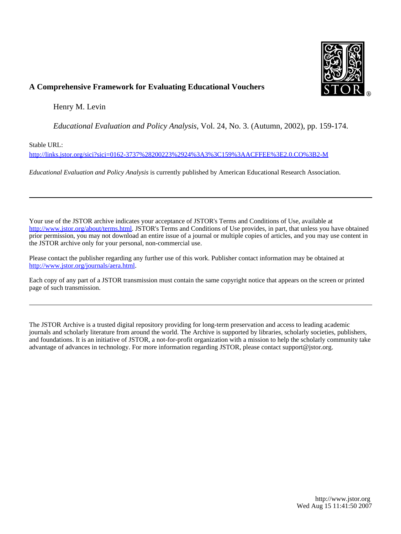

## **A Comprehensive Framework for Evaluating Educational Vouchers**

Henry M. Levin

*Educational Evaluation and Policy Analysis*, Vol. 24, No. 3. (Autumn, 2002), pp. 159-174.

Stable URL:

<http://links.jstor.org/sici?sici=0162-3737%28200223%2924%3A3%3C159%3AACFFEE%3E2.0.CO%3B2-M>

*Educational Evaluation and Policy Analysis* is currently published by American Educational Research Association.

Your use of the JSTOR archive indicates your acceptance of JSTOR's Terms and Conditions of Use, available at [http://www.jstor.org/about/terms.html.](http://www.jstor.org/about/terms.html) JSTOR's Terms and Conditions of Use provides, in part, that unless you have obtained prior permission, you may not download an entire issue of a journal or multiple copies of articles, and you may use content in the JSTOR archive only for your personal, non-commercial use.

Please contact the publisher regarding any further use of this work. Publisher contact information may be obtained at <http://www.jstor.org/journals/aera.html>.

Each copy of any part of a JSTOR transmission must contain the same copyright notice that appears on the screen or printed page of such transmission.

The JSTOR Archive is a trusted digital repository providing for long-term preservation and access to leading academic journals and scholarly literature from around the world. The Archive is supported by libraries, scholarly societies, publishers, and foundations. It is an initiative of JSTOR, a not-for-profit organization with a mission to help the scholarly community take advantage of advances in technology. For more information regarding JSTOR, please contact support@jstor.org.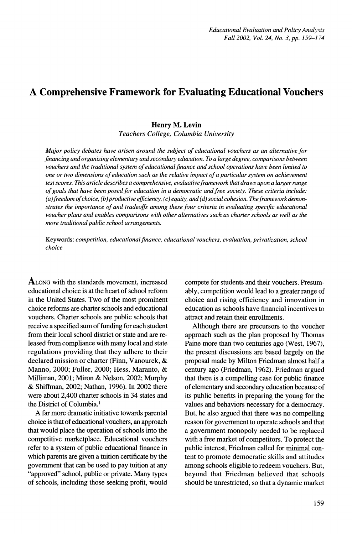# **A Comprehensive Framework for Evaluating Educational Vouchers**

#### **Henry** *M.* **Levin**

*Teachers College, Columbia University* 

*Major policy debates have arisen around the subject of educational vouchers as an alternative for jinancing and organizing elementary and secondary education. To a large degree, comparisons between*  vouchers and the traditional system of educational finance and school operations have been limited to *one or two dimensions of education such as the relative impact of a particular system on achievement test scores. This article describes a comprehensive, evaluative framework that draws upon a larger range of goals that have been posed for education in a democratic and free society. These criteria include: (a)freedorn of choice, (b) productive eficiency, (c) equity, and (d) social cohesion. Theffamework demon*strates the importance of and tradeoffs among these four criteria in evaluating specific educational *voucher plans and enables comparisons with other alternatives such as charter schools as well as the more traditional public school arrangements.* 

Keywords: *competition, educational finance, educational vouchers, evaluation, privatization, school choice* 

 $A$ LONG with the standards movement, increased educational choice is at the heart of school reform ably, competition would lead to a greater range of in the United States. Two of the most prominent choice and rising efficiency and innovation in choice reforms are charter schools and educational education as schools have financial incentives to vouchers. Charter schools are public schools that attract and retain their enrollments. receive a specified sum of funding for each student Although there are precursors to the voucher from their local school district or state and are re- approach such as the plan proposed by Thomas leased from compliance with many local and state Paine more than two centuries ago (West, 1967), regulations providing that they adhere to their the present discussions are based largely on the declared mission or charter (Finn, Vanourek, & proposal made by Milton Friedman almost half a Manno, 2000; Fuller, 2000; Hess, Maranto, & century ago (Friedman, 1962). Friedman argued Milliman, 2001; Miron & Nelson, 2002; Murphy that there is a compelling case for public finance & Shiffman, 2002; Nathan, 1996). In 2002 there of elementary and secondary education because of were about 2,400 charter schools in 34 states and its public benefits in preparing the young for the the District of Columbia.' values and behaviors necessary for a democracy.

choice is that of educational vouchers, an approach reason for government to operate schools and that that would place the operation of schools into the a government monopoly needed to be replaced competitive marketplace. Educational vouchers with a free market of competitors. To protect the refer to a system of public educational finance in public interest, Friedman called for minimal conwhich parents are given a tuition certificate by the tent to promote democratic skills and attitudes government that can be used to pay tuition at any among schools eligible to redeem vouchers. But, "approved" school, public or private. Many types beyond that Friedman believed that schools of schools, including those seeking profit, would should be unrestricted, so that a dynamic market

compete for students and their vouchers. Presum-

A far more dramatic initiative towards parental But, he also argued that there was no compelling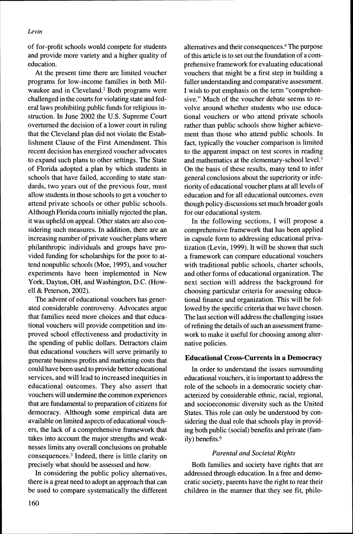of for-profit schools would compete for students and provide more variety and a higher quality of education.

At the present time there are limited voucher programs for low-income families in both Milwaukee and in Cleveland.<sup>2</sup> Both programs were challenged in the courts for violating state and federal laws prohibiting public funds for religious instruction. In June *2002* the U.S. Supreme Court overturned the decision of a lower court in ruling that the Cleveland plan did not violate the Establishment Clause of the First Amendment. This recent decision has energized voucher advocates to expand such plans to other settings. The State of Florida adopted a plan by which students in schools that have failed, according to state standards, two years out of the previous four, must allow students in those schools to get a voucher to attend private schools or other public schools. Although Florida courts initially rejected the plan, it was upheld on appeal. Other states are also considering such measures. In addition, there are an increasing number of private voucher plans where philanthropic individuals and groups have provided funding for scholarships for the poor to attend nonpublic schools (Moe, 1995), and voucher experiments have been implemented in New York, Dayton, OH, and Washington, D.C. (Howell & Peterson, *2002).* 

The advent of educational vouchers has generated considerable controversy. Advocates argue that families need more choices and that educational vouchers will provide competition and improved school effectiveness and productivity in the spending of public dollars. Detractors claim that educational vouchers will serve primarily to generate business profits and marketing costs that could have been used to provide better educational services, and will lead to increased inequities in educational outcomes. They also assert that vouchers will undermine the common experiences that are fundamental to preparation of citizens for democracy. Although some empirical data are available on limited aspects of educational vouchers, the lack of a comprehensive framework that takes into account the major strengths and weaknesses limits any overall conclusions on probable consequences.<sup>3</sup> Indeed, there is little clarity on precisely what should be assessed and how.

In considering the public policy alternatives, there is a great need to adopt an approach that can be used to compare systematically the different alternatives and their consequences.<sup>4</sup> The purpose of this article is to set out the foundation of a comprehensive framework for evaluating educational vouchers that might be a first step in building a fuller understanding and comparative assessment. I wish to put emphasis on the term "comprehensive." Much of the voucher debate seems to revolve around whether students who use educational vouchers or who attend private schools rather than public schools show higher achievement than those who attend public schools. In fact, typically the voucher comparison is limited to the apparent impact on test scores in reading and mathematics at the elementary-school level.<sup>5</sup> On the basis of these results, many tend to infer general conclusions about the superiority or inferiority of educational voucher plans at all levels of education and for all educational outcomes, even though policy discussions set much broader goals for our educational system.

In the following sections, I will propose a comprehensive framework that has been applied in capsule form to addressing educational privatization (Levin, 1999). It will be shown that such a framework can compare educational vouchers with traditional public schools, charter schools, and other forms of educational organization. The next section will address the background for choosing particular criteria for assessing educational finance and organization. This will be followed by the specific criteria that we have chosen. The last section will address the challenging issues of refining the details of such an assessment framework to make it useful for choosing among alternative policies.

#### **Educational Cross-Currents in a Democracy**

In order to understand the issues surrounding educational vouchers, it is important to address the role of the schools in a democratic society characterized by considerable ethnic, racial, regional, and socioeconomic diversity such as the United States. This role can only be understood by considering the dual role that schools play in providing both public (social) benefits and private (family) benefits.<sup>6</sup>

#### *Parental and Societal Rights*

Both families and society have rights that are addressed through education. In a free and democratic society, parents have the right to rear their children in the manner that they see fit, philo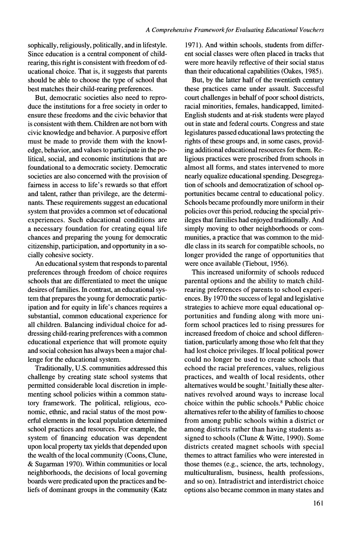sophically, religiously, politically, and in lifestyle. Since education is a central component of chldrearing, this right is consistent with freedom of educational choice. That is, it suggests that parents should be able to choose the type of school that best matches their child-rearing preferences.

But, democratic societies also need to reproduce the institutions for a free society in order to ensure these freedoms and the civic behavior that is consistent with them. Children are not born with civic knowledge and behavior. A purposive effort must be made to provide them with the knowledge, behavior, and values to participate in the political, social, and economic institutions that are foundational to a democratic society. Democratic societies are also concerned with the provision of fairness in access to life's rewards so that effort and talent, rather than privilege, are the detenninants. These requirements suggest an educational system that provides a common set of educational experiences. Such educational conditions are a necessary foundation for creating equal life chances and preparing the young for democratic citizenship, participation, and opportunity in a socially cohesive society.

An educational system that responds to parental preferences through freedom of choice requires schools that are differentiated to meet the unique desires of families. In contrast, an educational system that prepares the young for democratic participation and for equity in life's chances requires a substantial, common educational experience for all children. Balancing individual choice for addressing child-rearing preferences with a common educational experience that will promote equity and social cohesion has always been a major challenge for the educational system.

Traditionally, U.S. communities addressed this challenge by creating state school systems that permitted considerable local discretion in implementing school policies within a common statutory framework. The political, religious, economic, ethnic, and racial status of the most powerful elements in the local population determined school practices and resources. For example, the system of financing education was dependent upon local property tax yields that depended upon the wealth of the local community (Coons, Clune, & Sugarman 1970). Within communities or local neighborhoods, the decisions of local governing boards were predicated upon the practices and beliefs of dominant groups in the community (Katz

1971). And within schools, students from different social classes were often placed in tracks that were more heavily reflective of their social status than their educational capabilities (Oakes, 1985).

But, by the latter half of the twentieth century these practices came under assault. Successful court challenges in behalf of poor school districts, racial minorities, females, handicapped, limited-English students and at-risk students were played out in state and federal courts. Congress and state legislatures passed educational laws protecting the rights of these groups and, in some cases, provitling additional educational resources for them. Religious practices were proscribed from schools m almost all forms, and states intervened to more nearly equalize educational spending. Desegregation of schools and democratization of school opportunities became central to educational policy. Schools became profoundly more uniform in their policies over this period, reducing the special privileges that families had enjoyed traditionally. And simply moving to other neighborhoods or communities, a practice that was common to the middle class in its search for compatible schools, no longer provided the range of opportunities that were once available (Tiebout, 1956).

This increased uniformity of schools reduced parental options and the ability to match childrearing preferences of parents to school expertences. By 1970 the success of legal and legislative strategies to achieve more equal educational opportunities and funding along with more uniform school practices led to rising pressures for increased freedom of choice and school differentiation, particularly among those who felt that they had lost choice privileges. If local political power could no longer be used to create schools that echoed the racial preferences, values, religious practices, and wealth of local residents, other alternatives would be sought.' Initially these alternatives revolved around ways to increase local choice within the public school^.^ Public choice alternatives refer to the ability of families to choose from among public schools within a district or among districts rather than having students assigned to schools (Clune & Witte, 1990). Some districts created magnet schools with special themes to attract families who were interested in those themes (e.g., science, the arts, technology, multiculturalism, business, health professions, and so on). Intradistrict and interdistrict choice options also became common in many states and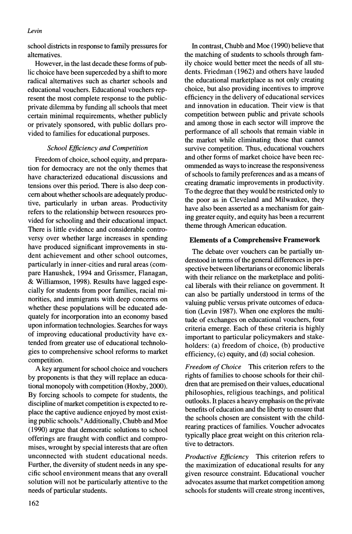school districts in response to family pressures for alternatives.

However, in the last decade these forms of public choice have been superceded by a shift to more radical alternatives such as charter schools and educational vouchers. Educational vouchers represent the most complete response to the publicprivate dilemma by funding all schools that meet certain minimal requirements, whether publicly or privately sponsored, with public dollars provided to families for educational purposes.

#### *School EfJiciency and Competition*

Freedom of choice, school equity, and preparation for democracy are not the only themes that have characterized educational discussions and tensions over this period. There is also deep concern about whether schools are adequately productive, particularly in urban areas. Productivity refers to the relationship between resources provided for schooling and their educational impact. There is little evidence and considerable controversy over whether large increases in spending have produced significant improvements in student achievement and other school outcomes, particularly in inner-cities and rural areas (compare Hanushek, 1994 and Grissmer, Flanagan, & Williamson, 1998). Results have lagged especially for students from poor families, racial minorities, and immigrants with deep concerns on whether these populations will be educated adequately for incorporation into an economy based upon information technologies. Searches for ways of improving educational productivity have extended from greater use of educational technologies to comprehensive school reforms to market competition.

A key argument for school choice and vouchers by proponents is that they will replace an educational monopoly with competition (Hoxby, 2000). By forcing schools to compete for students, the discipline of market competition is expected to replace the captive audience enjoyed by most existing public schools.<sup>9</sup> Additionally, Chubb and Moe (1990) argue that democratic solutions to school offerings are fraught with conflict and compromises, wrought by special interests that are often unconnected with student educational needs. Further, the diversity of student needs in any specific school environment means that any overall solution will not be particularly attentive to the needs of particular students.

In contrast, Chubb and Moe (1990) believe that the matching of students to schools through family choice would better meet the needs of all students. Friedman (1962) and others have lauded the educational marketplace as not only creating choice, but also providing incentives to improve efficiency in the delivery of educational services and innovation in education. Their view is that competition between public and private schools and among those in each sector will improve the performance of all schools that remain viable in the market while eliminating those that cannot survive competition. Thus, educational vouchers and other forms of market choice have been recommended as ways to increase the responsiveness of schools to family preferences and as a means of creating dramatic improvements in productivity. To the degree that they would be restricted only to the poor as in Cleveland and Milwaukee, they have also been asserted as a mechanism for gaining greater equity, and equity has been a recurrent theme through American education.

#### **Elements of a Comprehensive Framework**

The debate over vouchers can be partially understood in terms of the general differences in perspective between libertarians or economic liberals with their reliance on the marketplace and political liberals with their reliance on government. It can also be partially understood in terms of the valuing public versus private outcomes of education (Levin 1987). When one explores the multitude of exchanges on educational vouchers, four criteria emerge. Each of these criteria is highly important to particular policymakers and stakeholders: (a) freedom of choice, (b) productive efficiency, (c) equity, and (d) social cohesion.

*Freedom of Choice* This criterion refers to the rights of families to choose schools for their children that are premised on their values, educational philosophies, religious teachings, and political outlooks. It places a heavy emphasis on the private benefits of education and the liberty to ensure that the schools chosen are consistent with the childrearing practices of families. Voucher advocates typically place great weight on this criterion relative to detractors.

*Productive Efficiency* This criterion refers to the maximization of educational results for any given resource constraint. Educational voucher advocates assume that market competition among schools for students will create strong incentives,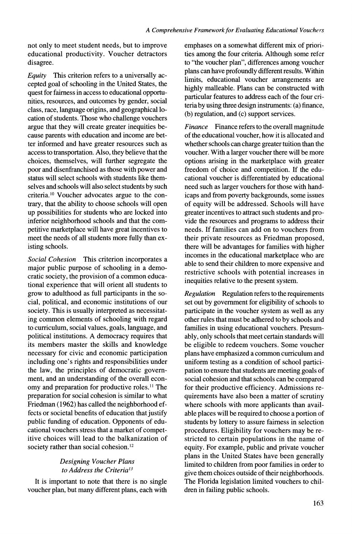not only to meet student needs, but to improve emphases on a somewhat different mix of priori-<br>educational productivity. Voucher detractors ties among the four criteria. Although some refer disagree. to "the voucher plan", differences among voucher

*Equity* This criterion refers to a universally accepted goal of schooling in the United States, the quest for fairness in access to educational opportunities, resources, and outcomes by gender, social class, race, language origins, and geographical location of students. Those who challenge vouchers argue that they will create greater inequities because parents with education and income are better informed and have greater resources such as access to transportation. Also, they believe that the choices, themselves, will further segregate the poor and disenfranchised as those with power and status will select schools with students like themselves and schools will also select students by such criteria.1° Voucher advocates argue to the contrary, that the ability to choose schools will open up possibilities for students who are locked into inferior neighborhood schools and that the competitive marketplace will have great incentives to meet the needs of all students more fully than existing schools.

*Social Cohesion* This criterion incorporates a major public purpose of schooling in a democratic society, the provision of a common educational experience that will orient all students to grow to adulthood as full participants in the social, political, and economic institutions of our society. This is usually interpreted as necessitating common elements of schooling with regard to curriculum, social values, goals, language, and political institutions. A democracy requires that its members master the skills and knowledge necessary for civic and economic participation including one's rights and responsibilities under the law, the principles of democratic government, and an understanding of the overall economy and preparation for productive roles.<sup>11</sup> The preparation for social cohesion is similar to what Friedman (1962) has called the neighborhood effects or societal benefits of education that justify public funding of education. Opponents of educational vouchers stress that a market of competitive choices will lead to the balkanization of society rather than social cohesion.<sup>12</sup>

## *Designing Voucher Plans to Address the CriteriaI3*

It is important to note that there is no single voucher plan, but many different plans, each with ties among the four criteria. Although some refer plans can have profoundly different results. Within limits, educational voucher arrangements are highly malleable. Plans can be constructed with particular features to address each of the four criteria by using three design instruments: (a) finance, (b) regulation, and (c) support services.

Finance Finance refers to the overall magnitude of the educational voucher, how it is allocated and whether schools can charge greater tuition than the voucher. With a larger voucher there will be more options arising in the marketplace with greater freedom of choice and competition. If the educational voucher is differentiated by educational need such as larger vouchers for those with handicaps and from poverty backgrounds, some issues of equity will be addressed. Schools will have greater incentives to attract such students and provide the resources and programs to address their needs. If families can add on to vouchers from their private resources as Friedman proposed, there will be advantages for families with higher incomes in the educational marketplace who are able to send their children to more expensive and restrictive schools with potential increases in inequities relative to the present system.

*Regulation* Regulation refers to the requirements set out by government for eligibility of schools to participate in the voucher system as well as any other rules that must be adhered to by schools and families in using educational vouchers. Presurnably, only schools that meet certain standards will be eligible to redeem vouchers. Some voucher plans have emphasized a common curriculum and uniform testing as a condition of school participation to ensure that students are meeting goals of social cohesion and that schools can be compared for their productive efficiency. Admissions requirements have also been a matter of scrutiny where schools with more applicants than available places will be required to choose a portion of students by lottery to assure fairness in selection procedures. Eligibility for vouchers may be restricted to certain populations in the name of equity. For example, public and private voucher plans in the United States have been generally limited to children from poor families in order to give them choices outside of their neighborhoods. The Florida legislation limited vouchers to children in failing public schools.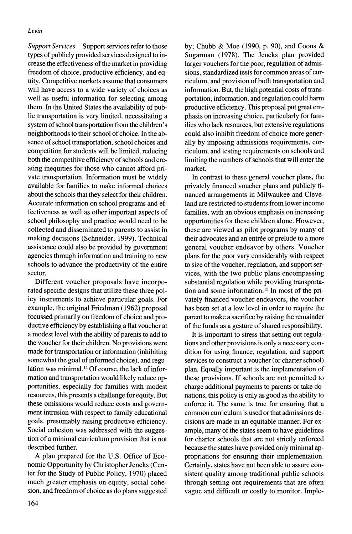Support Services Support services refer to those types of publicly provided services designed to increase the effectiveness of the market in providing freedom of choice, productive efficiency, and equity. Competitive markets assume that consumers will have access to a wide variety of choices as well as useful information for selecting among them. In the United States the availability of public transportation is very limited, necessitating a system of school transportation from the children's neighborhoods to their school of choice. In the absence of school transportation, school choices and competition for students will be limited, reducing both the competitive efficiency of schools and creating inequities for those who cannot afford private transportation. Information must be widely available for families to make informed choices about the schools that they select for their children. Accurate information on school programs and effectiveness as well as other important aspects of school philosophy and practice would need to be collected and disseminated to parents to assist in making decisions (Schneider, 1999). Technical assistance could also be provided by government agencies through information and training to new schools to advance the productivity of the entire sector.

Different voucher proposals have incorporated specific designs that utilize these three policy instruments to achieve particular goals. For example, the original Friedman (1962) proposal focussed primarily on freedom of choice and productive efficiency by establishing a flat voucher at a modest level with the ability of parents to add to the voucher for their children. No provisions were made for transportation or information (inhibiting somewhat the goal of informed choice), and regulation was minimal.14 Of course, the lack of information and transportation would likely reduce opportunities, especially for families with modest resources, this presents a challenge for equity. But these omissions would reduce costs and government intrusion with respect to family educational goals, presumably raising productive efficiency. Social cohesion was addressed with the suggestion of a minimal curriculum provision that is not described further.

A plan prepared for the U.S. Office of Economic Opportunity by Christopher Jencks (Center for the Study of Public Policy, 1970) placed much greater emphasis on equity, social cohesion, and freedom of choice as do plans suggested

by; Chubb & Moe (1990, p. 90), and Coons & Sugarman (1978). The Jencks plan provided larger vouchers for the poor, regulation of admissions, standardized tests for common areas of curriculum, and provision of both transportation and information. But, the high potential costs of transportation, information, and regulation could harm productive efficiency. This proposal put great emphasis on increasing choice, particularly for families who lack resources, but extensive regulations could also inhibit freedom of choice more generally by imposing admissions requirements, curriculum, and testing requirements on schools and limiting the numbers of schools that will enter the market.

In contrast to these general voucher plans, the privately financed voucher plans and publicly financed arrangements in Milwaukee and Cleveland are restricted to students from lower income families, with an obvious emphasis on increasing opportunities for these children alone. However, these are viewed as pilot programs by many of their advocates and an entrée or prelude to a more general voucher endeavor by others. Voucher plans for the poor vary considerably with respect to size of the voucher, regulation, and support services, with the two public plans encompassing substantial regulation while providing transportation and some information.15 In most of the privately financed voucher endeavors, the voucher has been set at a low level in order to require the parent to make a sacrifice by raising the remainder of the funds as a gesture of shared responsibility.

It is important to stress that setting out regulations and other provisions is only a necessary condition for using finance, regulation, and support services to construct a voucher (or charter school) plan. Equally important is the implementation of these provisions. If schools are not permitted to charge additional payments to parents or take donations, this policy is only as good as the ability to enforce it. The same is true for ensuring that a common curriculum is used or that admissions decisions are made in an equitable manner. For example, many of the states seem to have guidelines for charter schools that are not strictly enforced because the states have provided only minimal appropriations for ensuring their implementation. Certainly, states have not been able to assure consistent quality among traditional public schools through setting out requirements that are often vague and difficult or costly to monitor. Imple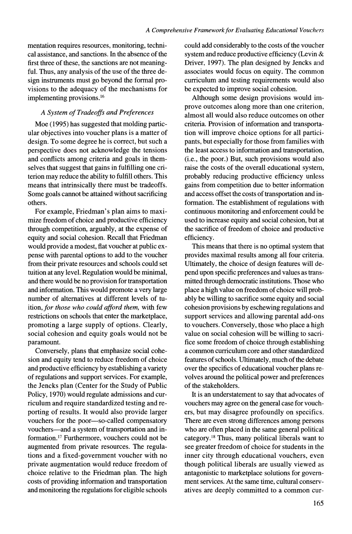mentation requires resources, monitoring, technical assistance, and sanctions. In the absence of the first three of these, the sanctions are not meaningful. Thus, any analysis of the use of the three design instruments must go beyond the formal provisions to the adequacy of the mechanisms for implementing provisions. $16$ 

## *A System of Tradeoffs and Preferences*

Moe (1995) has suggested that molding particular objectives into voucher plans is a matter of design. To some degree he is correct, but such a perspective does not acknowledge the tensions and conflicts among criteria and goals in themselves that suggest that gains in fulfilling one criterion may reduce the ability to fulfill others. This means that intrinsically there must be tradeoffs. Some goals cannot be attained without sacrificing others.

For example, Friedman's plan aims to maximize freedom of choice and productive efficiency through competition, arguably, at the expense of equity and social cohesion. Recall that Friedman would provide a modest, flat voucher at public expense with parental options to add to the voucher from their private resources and schools could set tuition at any level. Regulation would be minimal, and there would be no provision for transportation and information. This would promote a very large number of alternatives at different levels of tuition,*for those who could afford them,* with few restrictions on schools that enter the marketplace, promoting a large supply of options. Clearly, social cohesion and equity goals would not be paramount.

Conversely, plans that emphasize social cohesion and equity tend to reduce freedom of choice and productive efficiency by establishing a variety of regulations and support services. For example, the Jencks plan (Center for the Study of Public Policy, 1970) would regulate admissions and curriculum and require standardized testing and reporting of results. It would also provide larger vouchers for the poor-so-called compensatory vouchers-and a system of transportation and information.17 Furthermore, vouchers could not be augmented from private resources. The regulations and a fixed-government voucher with no private augmentation would reduce freedom of choice relative to the Friedman plan. The high costs of providing information and transportation and monitoring the regulations for eligible schools could add considerably to the costs of the voucher system and reduce productive efficiency (Levin & Driver, 1997). The plan designed by Jencks and associates would focus on equity. The common curriculum and testing requirements would also be expected to improve social cohesion.

Although some design provisions would improve outcomes along more than one criterion, almost all would also reduce outcomes on other criteria. Provision of information and transportation will improve choice options for all participants, but especially for those from families with the least access to information and transportation, (i.e., the poor.) But, such provisions would also raise the costs of the overall educational system, probably reducing productive efficiency unless gains from competition due to better information and access offset the costs of transportation and information. The establishment of regulations with continuous monitoring and enforcement could be used to increase equity and social cohesion, but at the sacrifice of freedom of choice and productive efficiency.

This means that there is no optimal system that provides maximal results among all four criteria. Ultimately, the choice of design features will depend upon specific preferences and values as transmitted through democratic institutions. Those who place a high value on freedom of choice will probably be willing to sacrifice some equity and social cohesion provisions by eschewing regulations and support services and allowing parental add-ons to vouchers. Conversely, those who place a high value on social cohesion will be willing to sacrifice some freedom of choice through establishing a common curriculum core and other standardized features of schools. Ultimately, much of the debate over the specifics of educational voucher plans revolves around the political power and preferences of the stakeholders.

It is an understatement to say that advocates of vouchers may agree on the general case for vouchers, but may disagree profoundly on specifics. There are even strong differences among persons who are often placed in the same general political category.I8 Thus, many political liberals want to see greater freedom of choice for students in the inner city through educational vouchers, even though political liberals are usually viewed as antagonistic to marketplace solutions for government services. At the same time, cultural conservatives are deeply committed to a common cur-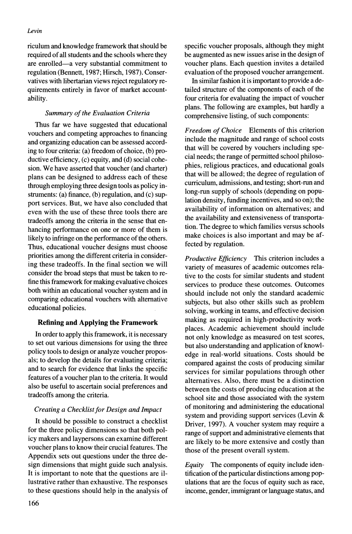riculum and knowledge framework that should be required of all students and the schools where they are enrolled-a very substantial commitment to regulation (Bennett, 1987; Hirsch, 1987). Conservatives with libertarian views reject regulatory requirements entirely in favor of market accountability.

## *Summary of the Evaluation Criteria*

Thus far we have suggested that educational vouchers and competing approaches to financing and organizing education can be assessed according to four criteria: (a) freedom of choice, (b) productive efficiency, (c) equity, and (d) social cohesion. We have asserted that voucher (and charter) plans can be designed to address each of these through employing three design tools as policy instruments: (a) finance, (b) regulation, and (c) support services. But, we have also concluded that even with the use of these three tools there are tradeoffs among the criteria in the sense that enhancing performance on one or more of them is likely to infringe on the performance of the others. Thus, educational voucher designs must choose priorities among the different criteria in considering these tradeoffs. In the final section we will consider the broad steps that must be taken to refine this framework for making evaluative choices both within an educational voucher system and in comparing educational vouchers with alternative educational policies.

#### **Refining and Applying the Framework**

In order to apply this framework, it is necessary to set out various dimensions for using the three policy tools to design or analyze voucher proposals; to develop the details for evaluating criteria; and to search for evidence that links the specific features of a voucher plan to the criteria. It would also be useful to ascertain social preferences and tradeoffs among the criteria.

## *Creating a Checklist for Design and Impact*

It should be possible to construct a checklist for the three policy dimensions so that both policy makers and laypersons can examine different voucher plans to know their crucial features. The Appendix sets out questions under the three design dimensions that might guide such analysis. It is important to note that the questions are illustrative rather than exhaustive. The responses to these questions should help in the analysis of

specific voucher proposals, although they might be augmented as new issues arise in the design of voucher plans. Each question invites a detailed evaluation of the proposed voucher arrangement.

In similar fashion it is important to provide a detailed structure of the components of each of the four criteria for evaluating the impact of voucher plans. The following are examples, but hardly a comprehensive listing, of such components:

*Freedom of Choice* Elements of this criterion include the magnitude and range of school costs that will be covered by vouchers including special needs; the range of permitted school philosophies, religious practices, and educational goals that will be allowed; the degree of regulation of curriculum, admissions, and testing; short-run and long-run supply of schools (depending on population density, funding incentives, and so on); the availability of information on alternatives; and the availability and extensiveness of transportation. The degree to which families versus schools make choices is also important and may be affected by regulation.

*Productive Efficiency* This criterion includes a variety of measures of academic outcomes relative to the costs for similar students and student services to produce these outcomes. Outcomes should include not only the standard academic subjects, but also other skills such as problem solving, working in teams, and effective decision making as required in high-productivity workplaces. Academic achievement should include not only knowledge as measured on test scores, but also understanding and application of knowledge in real-world situations. Costs should be compared against the costs of producing similar services for similar populations through other alternatives. Also, there must be a distinction between the costs of producing education at the school site and those associated with the system of monitoring and administering the educational system and providing support services (Levin & Driver, 1997). A voucher system may require a range of support and administrative elements that are likely to be more extensive and costly than those of the present overall system.

*Equity* The components of equity include identification of the particular distinctions among populations that are the focus of equity such as race, income, gender, immigrant or language status, and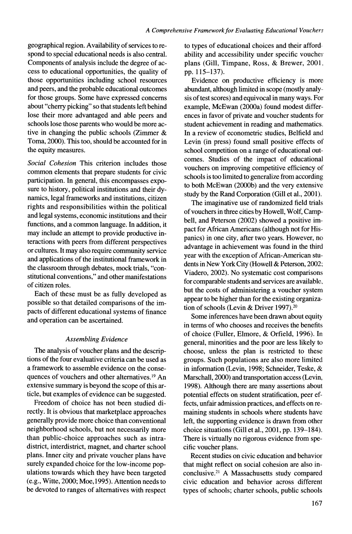geographical region. Availability of services to respond to special educational needs is also central. Components of analysis include the degree of access to educational opportunities, the quality of those opportunities including school resources and peers, and the probable educational outcomes for those groups. Some have expressed concerns about "cherry picking" so that students left behind lose their more advantaged and able peers and schools lose those parents who would be more active in changing the public schools (Zimmer & Toma, 2000). This too, should be accounted for in the equity measures.

*Social Cohesion* This criterion includes those common elements that prepare students for civic participation. In general, this encompasses exposure to history, political institutions and their dynamics, legal frameworks and institutions, citizen rights and responsibilities within the political and legal systems, economic institutions and their functions, and a common language. In addition, it may include an attempt to provide productive interactions with peers from different perspectives or cultures. It may also require community service and applications of the institutional framework in the classroom through debates, mock trials, "constitutional conventions," and other manifestations of citizen roles.

Each of these must be as fully developed as possible so that detailed comparisons of the impacts of different educational systems of finance and operation can be ascertained.

#### *Assembling Evidence*

The analysis of voucher plans and the descriptions of the four evaluative criteria can be used as a framework to assemble evidence on the consequences of vouchers and other alternatives.<sup>19</sup> An extensive summary is beyond the scope of this article, but examples of evidence can be suggested.

Freedom of choice has not been studied directly. It is obvious that marketplace approaches generally provide more choice than conventional neighborhood schools, but not necessarily more than public-choice approaches such as intradistrict, interdistrict, magnet, and charter school plans. Inner city and private voucher plans have surely expanded choice for the low-income populations towards which they have been targeted (e.g., Witte, 2000; Moe, 1995). Attention needs to be devoted to ranges of alternatives with respect to types of educational choices and their affordability and accessibility under specific voucher plans (Gill, Timpane, Ross, & Brewer, 2001, pp. 115-137).

Evidence on productive efficiency is more abundant, although limited in scope (mostly analysis of test scores) and equivocal in many ways. For example, McEwan (2000a) found modest differences in favor of private and voucher students for student achievement in reading and mathematics. In a review of econometric studies, Belfield and Levin (in press) found small positive effects of school competition on a range of educational outcomes. Studies of the impact of educational vouchers on improving competitive efficiency of schools is too limited to generalize from according to both McEwan (2000b) and the very extensive study by the Rand Corporation (Gill et al., 2001).

The imaginative use of randomized field trials of vouchers in three cities by Howell, Wolf, Camp-. bell, and Peterson (2002) showed a positive impact for African Americans (although not for Hispanics) in one city, after two years. However, no advantage in achievement was found in the third year with the exception of African-American stu-. dents in New York City (Howell & Peterson, 2002; Viadero, 2002). No systematic cost comparisons for comparable students and services are available. but the costs of administering a voucher system appear to be higher than for the existing organization of schools (Levin & Driver 1997).<sup>20</sup>

Some inferences have been drawn about equity in terms of who chooses and receives the benefits of choice (Fuller, Elmore, & Orfield, 1996). In general, minorities and the poor are less likely to choose, unless the plan is restricted to these groups. Such populations are also more limited in information (Levin, 1998; Schneider, Teske, & Marschall, 2000) and transportation access (Levin. 1998). Although there are many assertions about potential effects on student stratification, peer effects, unfair admission practices, and effects on remaining students in schools where students have left, the supporting evidence is drawn from other choice situations (Gill et al., 2001, pp. 139-184). There is virtually no rigorous evidence from specific voucher plans.

Recent studies on civic education and behavior that might reflect on social cohesion are also inconclusive. $21$  A Massachusetts study compared civic education and behavior across different types of schools; charter schools, public schools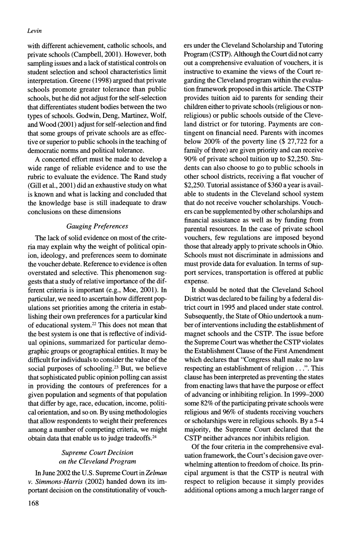with different achievement, catholic schools, and private schools (Campbell, 2001). However, both sampling issues and a lack of statistical controls on student selection and school characteristics limit interpretation. Greene (1998) argued that private schools promote greater tolerance than public schools, but he did not adjust for the self-selection that differentiates student bodies between the two types of schools. Godwin, Deng, Martinez, Wolf, and Wood (2001) adjust for self-selection and find that some groups of private schools are as effective or superior to public schools in the teaching of democratic norms and political tolerance.

A concerted effort must be made to develop a wide range of reliable evidence and to use the rubric to evaluate the evidence. The Rand study (Gill et al., 2001) did an exhaustive study on what is known and what is lacking and concluded that the knowledge base is still inadequate to draw conclusions on these dimensions

#### *Gauging Preferences*

The lack of solid evidence on most of the criteria may explain why the weight of political opinion, ideology, and preferences seem to dominate the voucher debate. Reference to evidence is often overstated and selective. This phenomenon suggests that a study of relative importance of the different criteria is important (e.g., Moe, 2001). In particular, we need to ascertain how different populations set priorities among the criteria in establishing their own preferences for a particular kind of educational system.22 This does not mean that the best system is one that is reflective of individual opinions, summarized for particular demographic groups or geographical entities. It may be difficult for individuals to consider the value of the social purposes of schooling.<sup>23</sup> But, we believe that sophisticated public opinion polling can assist in providing the contours of preferences for a given population and segments of that population that differ by age, race, education, income, political orientation, and so on. By using methodologies that allow respondents to weight their preferences among a number of competing criteria, we might obtain data that enable us to judge tradeoffs. $24$ 

## *Supreme Court Decision on the Cleveland Program*

In June 2002 the U.S. Supreme Court in *Zelman v. Simmons-Harris* (2002) handed down its important decision on the constitutionality of vouchers under the Cleveland Scholarship and Tutoring Program (CSTP). Although the Court did not carry out a comprehensive evaluation of vouchers, it is instructive to examine the views of the Court regarding the Cleveland program within the evaluation framework proposed in this article. The CSTP provides tuition aid to parents for sending their children either to private schools (religious or nonreligious) or public schools outside of the Cleveland district or for tutoring. Payments are contingent on financial need. Parents with incomes below 200% of the poverty line (\$ 27,722 for a family of three) are given priority and can receive 90% of private school tuition up to \$2,250. Students can also choose to go to public schools in other school districts, receiving a flat voucher of \$2,250. Tutorial assistance of \$360 a year is available to students in the Cleveland school system that do not receive voucher scholarships. Vouchers can be supplemented by other scholarships and financial assistance as well as by funding from parental resources. In the case of private school vouchers, few regulations are imposed beyond those that already apply to private schools in Ohio. Schools must not discriminate in admissions and must provide data for evaluation. In terms of support services, transportation is offered at public expense.

It should be noted that the Cleveland School District was declared to be failing by a federal district court in 1995 and placed under state control. Subsequently, the State of Ohio undertook a number of interventions including the establishment of magnet schools and the CSTP. The issue before the Supreme Court was whether the CSTP violates the Establishment Clause of the First Amendment which declares that "Congress shall make no law respecting an establishment of religion . . .". This clause has been interpreted as preventing the states from enacting laws that have the purpose or effect of advancing or inhibiting religion. In 1999-2000 some 82% of the participating private schools were religious and 96% of students receiving vouchers or scholarships were in religious schools. By a 5-4 majority, the Supreme Court declared that the CSTP neither advances nor inhibits religion.

Of the four criteria in the comprehensive evaluation framework, the Court's decision gave overwhelming attention to freedom of choice. Its principal argument is that the CSTP is neutral with respect to religion because it simply provides additional options among a much larger range of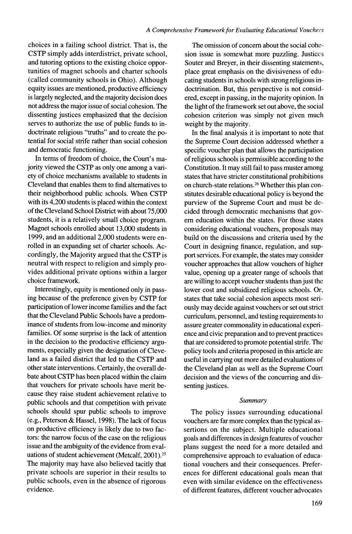choices in a failing school district. That is, the CSTP simply adds interdistrict, private school, and tutoring options to the existing choice opportunities of magnet schools and charter schools (called community schools in Ohio). Although equity issues are mentioned, productive efficiency is largely neglected, and the majority decision does not address the major issue of social cohesion. The dissenting justices emphasized that the decision serves to authorize the use of public funds to indoctrinate religious "truths" and to create the potential for social strife rather than social cohesion and democratic functioning.

In terms of freedom of choice, the Court's majority viewed the CSTP as only one among a variety of choice mechanisms available to students in Cleveland that enables them to find alternatives to their neighborhood public schools. When CSTP with its 4,200 students is placed within the context of the Cleveland School District with about 75,000 students, it is a relatively small choice program. Magnet schools enrolled about 13,000 students in 1999, and an additional 2,000 students were enrolled in an expanding set of charter schools. Accordingly, the Majority argued that the CSTP is neutral with respect to religion and simply provides additional private options within a larger choice framework.

Interestingly, equity is mentioned only in passing because of the preference given by CSTP for participation of lower income families and the fact that the Cleveland Public Schools have a predominance of students from low-income and minority families. Of some surprise is the lack of attention in the decision to the productive efficiency arguments, especially given the designation of Cleveland as a failed district that led to the CSTP and other state interventions. Certainly, the overall debate about CSTP has been placed within the claim that vouchers for private schools have merit because they raise student achievement relative to public schools and that competition with private schools should spur public schools to improve (e.g., Peterson & Hassel, 1998). The lack of focus on productive efficiency is likely due to two factors: the narrow focus of the case on the religious issue and the ambiguity of the evidence from evaluations of student achievement (Metcalf, 2001).<sup>25</sup> The majority may have also believed tacitly that private schools are superior in their results to public schools, even in the absence of rigorous evidence.

The omission of concern about the social cohesion issue is somewhat more puzzling. Justiccs Souter and Breyer, in their dissenting statements, place great emphasis on the divisiveness of educating students in schools with strong religious indoctrination. But, this perspective is not considered, except in passing, in the majority opinion. In the light of the framework set out above, the social cohesion criterion was simply not given much weight by the majority.

In the final analysis it is important to note that the Supreme Court decision addressed whether a specific voucher plan that allows the participation of religious schools is permissible according to the Constitution. It may still fail to pass muster among states that have stricter constitutional prohibitions on church-state relations.<sup>26</sup> Whether this plan constitutes desirable educational policy is beyond the purview of the Supreme Court and must be decided through democratic mechanisms that govem education within the states. For those states considering educational vouchers, proposals may build on the discussions and criteria used by the Court in designing finance, regulation, and support services. For example, the states may consider voucher approaches that allow vouchers of higher value, opening up a greater range of schools that are willing to accept voucher students than just the lower cost and subsidized religious schools. Or, states that take social cohesion aspects most seriously may decide against vouchers or set out strict curriculum, personnel, and testing requirements to assure greater commonality in educational experience and civic preparation and to prevent practices that are considered to promote potential strife. The policy tools and criteria proposed in this article are useful in carrying out more detailed evaluations of the Cleveland plan as well as the Supreme Court decision and the views of the concurring and dissenting justices.

#### *Summary*

The policy issues surrounding educational vouchers are far more complex than the typical assertions on the subject. Multiple educational goals and differences in design features of voucher plans suggest the need for a more detailed and comprehensive approach to evaluation of educa- tional vouchers and their consequences. Preferences for different educational goals mean that. even with similar evidence on the effectiveness of different features, different voucher advocates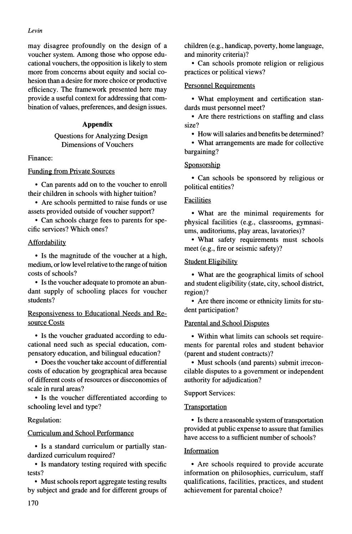may disagree profoundly on the design of a voucher system. Among those who oppose educational vouchers, the opposition is likely to stem more from concerns about equity and social cohesion than a desire for more choice or productive efficiency. The framework presented here may provide a useful context for addressing that combination of values, preferences, and design issues.

#### **Appendix**

Questions for Analyzing Design Dimensions of Vouchers

Finance:

Funding from Private Sources

Can parents add on to the voucher to enroll their children in schools with higher tuition?

Are schools permitted to raise funds or use assets provided outside of voucher support?

Can schools charge fees to parents for specific services? Which ones?

#### **Affordability**

• Is the magnitude of the voucher at a high, medium, or low level relative to the range of tuition costs of schools?

• Is the voucher adequate to promote an abundant supply of schooling places for voucher students?

Responsiveness to Educational Needs and Resource Costs

• Is the voucher graduated according to educational need such as special education, compensatory education, and bilingual education?

• Does the voucher take account of differential costs of education by geographical area because of different costs of resources or diseconomies of scale in rural areas?

• Is the voucher differentiated according to schooling level and type?

#### Regulation:

Curriculum and School Performance

Is a standard curriculum or partially standardized curriculum required?

• Is mandatory testing required with specific tests?

• Must schools report aggregate testing results by subject and grade and for different groups of children (e.g., handicap, poverty, home language, and minority criteria)?

Can schools promote religion or religious practices or political views?

#### Personnel Requirements

What employment and certification standards must personnel meet?

• Are there restrictions on staffing and class size?

• How will salaries and benefits be determined?

What arrangements are made for collective bargaining?

#### Sponsorship

Can schools be sponsored by religious or political entities?

#### **Facilities**

What are the minimal requirements for physical facilities (e.g., classrooms, gymnasiums, auditoriums, play areas, lavatories)?

What safety requirements must schools meet (e.g., fire or seismic safety)?

#### Student Eligibility

What are the geographical limits of school and student eligibility (state, city, school district, region)?

Are there income or ethnicity limits for student participation?

#### Parental and School Disputes

Within what limits can schools set requirements for parental roles and student behavior (parent and student contracts)?

Must schools (and parents) submit irreconcilable disputes to a government or independent authority for adjudication?

#### Support Services:

#### **Transportation**

• Is there a reasonable system of transportation provided at public expense to assure that families have access to a sufficient number of schools?

#### Information

Are schools required to provide accurate information on philosophies, curriculum, staff qualifications, facilities, practices, and student achievement for parental choice?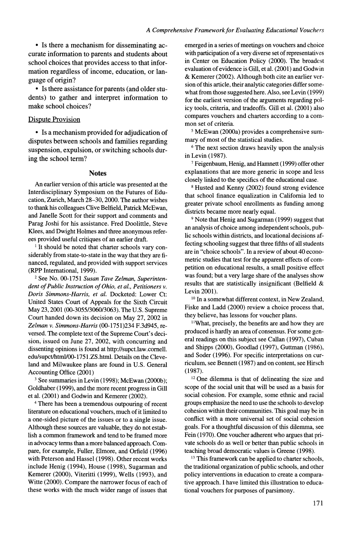• Is there a mechanism for disseminating accurate information to parents and students about school choices that provides access to that information regardless of income, education, or language of origin?

• Is there assistance for parents (and older students) to gather and interpret information to make school choices?

#### Dispute Provision

• Is a mechanism provided for adjudication of disputes between schools and families regarding suspension, expulsion, or switching schools during the school term?

#### **Notes**

An earlier version of this article was presented at the Interdisciplinary Symposium on the Futures of Education, Zurich, March 28-30,2000. The author wishes to thank his colleagues Clive Belfield, Patrick McEwan, and Janelle Scott for their support and comments and Parag Joshi for his assistance. Fred Doolittle, Steve Klees, and Dwight Holmes and three anonymous referees provided useful critiques of an earlier draft.

<sup>1</sup> It should be noted that charter schools vary considerably from state-to-state in the way that they are financed, regulated, and provided with support services (RPP International, 1999).

<sup>2</sup> See No. 00-1751 Susan Tave Zelman, Superinten*dent of Public Instruction of Ohio, et al., Petitioners v. Doris Simmons-Harris, et al.* Docketed: Lower Ct: United States Court of Appeals for the Sixth Circuit May 23,2001 (00-3055/3060/3063).The U.S. Supreme Court handed down its decision on May 27,2002 in *Zelman* v. *Simmons-Harris* (00-1751)234 F.3d945, reversed. The complete text of the Supreme Court's decision, issued on June 27, 2002, with concurring and dissenting opinions is found at http://supct.law.cornell. edu/supct/html/00-1751.ZS.html. Details on the Cleveland and Milwaukee plans are found in U.S. General Accounting Office (2001)

<sup>3</sup> See summaries in Levin (1998); McEwan (2000b); Goldhaber (1999), and the more recent progress in Gill et al. (2001) and Godwin and Kemerer (2002).

There has been a tremendous outpouring of recent literature on educational vouchers, much of it limited to a one-sided picture of the issues or to a single issue. Although these sources are valuable, they do not establish a common framework and tend to be framed more in advocacyterms than a more balanced approach.Compare, for example, Fuller, Elmore, and Orfield (1996) with Peterson and Hassel (1998). Other recent works include Henig (1994), House (1998), Sugarman and Kemerer (2000), Viteritti (1999), Wells (1993), and Witte (2000). Compare the narrower focus of each of these works with the much wider range of issues that emerged in a series of meetings on vouchers and choice with participation of a very diverse set of representatives in Center on Education Policy (2000). The broadcst evaluation of evidence is Gill. et al. (2001) and Godwin & Kemerer (2002). Although both cite an earlier version of this article, their analytic categories differ somewhat from those suggested here. Also, see Levin (1999) for the earliest version of the arguments regarding policy tools, criteria, and tradeoffs. Gill et al. (2001) also compares vouchers and charters according to a common set of criteria.

<sup>5</sup> McEwan (2000a) provides a comprehensive summary of most of the statistical studies.

 $6$  The next section draws heavily upon the analysis in Levin (1987).

<sup>7</sup> Feigenbaum, Henig, and Hamnett (1999) offer other explanations that are more generic in scope and less closely linked to the specifics of the educational case.

Husted and Kenny (2002) found strong evidence that school finance equalization in California led to greater private school enrollments as funding among districts became more nearly equal.

<sup>9</sup> Note that Henig and Sugarman (1999) suggest that an analysis of choice among independent schools, public schools within districts, and locational decisions affecting schooling suggest that three fifths of all students are in "choice schools". In a review of about 40 econometric studies that test for the apparent effects of competition on educational results, a small positive effect was found; but a very large share of the analyses show results that are statistically insignificant (Belfield & Levin 2001).

<sup>10</sup> In a somewhat different context, in New Zealand, Fiske and Ladd (2000) review a choice process that, they believe, has lessons for voucher plans.

"What, precisely, the benefits are and how they are produced is hardly an area of consensus. For some general readings on this subject see Callan (1997), Cuban and Shipps (2000), Goodlad (1997), Guttman (1986), and Soder (1996). For specific interpretations on curriculum, see Bennett  $(1987)$  and on content, see Hirsch (1987).

**l2** One dilemma is that of delineating the size and scope of the social unit that will be used as a basis for social cohesion. For example, some ethnic and racial groups emphasize the need to use the schools to develop cohesion within their communities. This goal may be in conflict with a more universal set of social cohesion goals. For a thoughtful discussion of this dilemma, see Fein (1970). One voucher adherent who argues that private schools do as well or better than public schools in teaching broad democratic values is Greene (1998).

<sup>13</sup> This framework can be applied to charter schools, the traditional organization of public schools, and other policy interventions in education to create a comparative approach. I have limited this illustration to educational vouchers for purposes of parsimony.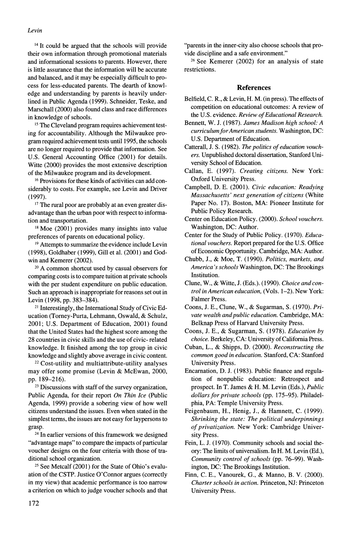**l4** It could be argued that the schools will provide their own information through promotional materials and informational sessions to parents. However, there is little assurance that the information will be accurate and balanced, and it may be especially difficult to process for less-educated parents. The dearth of knowledge and understanding by parents is heavily underlined in Public Agenda (1999). Schneider, Teske, and Marschall (2000) also found class and race differences in knowledge of schools.

<sup>15</sup> The Cleveland program requires achievement testing for accountability. Although the Milwaukee program required achievement tests until 1995, the schools are no longer required to provide that information. See U.S. General Accounting Office (2001) for details. Witte (2000) provides the most extensive description of the Milwaukee program and its development.

<sup>16</sup> Provisions for these kinds of activities can add considerably to costs. For example, see Levin and Driver (1997).

**l7** The rural poor are probably at an even greater disadvantage than the urban poor with respect to information and transportation.

<sup>18</sup> Moe (2001) provides many insights into value preferences of parents on educational policy.

<sup>19</sup> Attempts to summarize the evidence include Levin (1998), Goldhaber (1999), Gill et al. (2001) and Godwin and Kemerer (2002).

<sup>20</sup> A common shortcut used by casual observers for comparing costs is to compare tuition at private schools with the per student expenditure on public education. Such an approach is inappropriate for reasons set out in Levin (1998, pp. 383-384).

21 Interestingly, the International Study of Civic Education (Torney-Purta, Lehmann, Oswald, & Schulz, 2001; U.S. Department of Education, 2001) found that the United States had the highest score among the 28 countries in civic skills and the use of civic- related knowledge. It finished among the top group in civic knowledge and slightly above average in civic content.

22 Cost-utility and multiattribute-utility analyses may offer some promise (Levin & McEwan, 2000, pp. 189-216).

**<sup>21</sup>**Discussions with staff of the survey organization, Public Agenda, for their report *On Thin Ice* (Public Agenda, 1999) provide a sobering view of how well citizens understand the issues. Even when stated in the simplest terms, the issues are not easy for laypersons to grasp.

**<sup>24</sup>**In earlier versions of this framework we designed "advantage maps" to compare the impacts of particular voucher designs on the four criteria with those of traditional school organization.

**25** See Metcalf (2001) for the State of Ohio's evaluation of the CSTP. Justice O'Connor argues (correctly in my view) that academic performance is too narrow a criterion on which to judge voucher schools and that

"parents in the inner-city also choose schools that provide discipline and a safe environment."

26 See Kemerer (2002) for an analysis of state restrictions.

#### **References**

- Belfield, C. R., & Levin, H. M. (in press). The effects of competition on educational outcomes: A review of the U.S. evidence. *Review of Educational Research.*
- Bennett, W. *J.* (1987). *James Madison high school: A curriculum for American students.* Washington, DC: U.S. Department of Education.
- Catterall, J. S. (1982). *The politics of education vouchers.* Unpublished doctoral dissertation, Stanford University School of Education.
- Callan, E. (1997). *Creating citizens.* New York: Oxford University Press.
- Campbell, D. E. (2001). *Civic education: Readying Massachusetts' next generation of citizens* (White Paper No. 17). Boston, MA: Pioneer Institute for Public Policy Research.
- Center on Education Policy. (2000). *School vouchers.*  Washington, DC: Author.
- Center for the Study of Public Policy. (1970). *Educational vouchers.* Report prepared for the U.S. Office of Economic Opportunity. Cambridge, MA: Author.
- Chubb, J., & Moe, T. (1990). *Politics, markets, and America's schools* Washington, DC: The Brookings Institution.
- Clune, W., & Witte, J. (Eds.). (1990). *Choice and control in American education,* (Vols. 1-2). New York: Falmer Press.
- Coons, J. E., Clune, W., & Sugarman, S. (1970). *Private wealth andpublic education.* Cambridge, MA: Belknap Press of Harvard University Press.
- Coons, J. E., & Sugarman, S. (1978). *Education by choice.*Berkeley, CA: University of California Press.
- Cuban, L., & Shipps, D. (2000). *Reconstructing the common good in education.* Stanford, CA: Stanford University Press.
- Encarnation, D. J. (1983). Public finance and regulation of nonpublic education: Retrospect and prospect. In T. James & H. M. Levin (Eds.), *Public dollars for private schools* (pp. 175-95). Philadelphia, PA: Temple University Press.
- Feigenbaum, H., Henig, J., & Hamnett, C. (1999). *Shrinking the state: The political underpinnings of privatization.* New York: Cambridge University Press.
- Fein, L. J. (1970). Community schools and social theory: The limits of universalism. In H. M. Levin (Ed.), *Community control of schools* (pp. 76-99). Washington, DC: The Brookings Institution.
- Finn, C. E., Vanourek, G., & Manno, B. V. (2000). *Charter schools in action.* Princeton, NJ: Princeton University Press.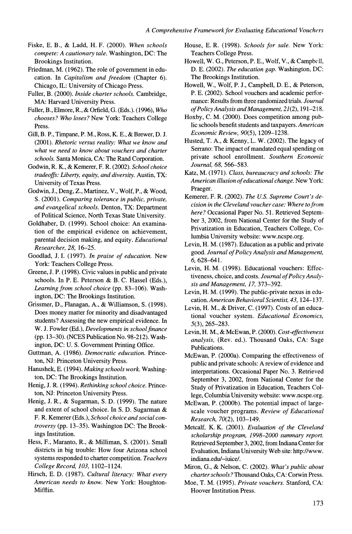- Fiske, E. B., & Ladd, H. F. (2000). *When schools compete: A cautionary tale.* Washington, DC: The Brookings Institution.
- Friedman, M. (1962). The role of government in education. In *Capitalism and freedom* (Chapter 6). Chicago, IL: University of Chicago Press.
- Fuller, B. (2000). *Inside charter schools.* Cambridge, MA: Harvard University Press.

Fuller, B., Elmore, R., & Orfield, G. (Eds.). (1996), *Who chooses? Who loses?* New York: Teachers College Press.

Gill, B. P., Timpane, P. M., Ross, K. E., & Brewer, D. J. (2001). *Rhetoric versus reality: What we know and what we need to know about vouchers and charter schools.* Santa Monica, CA: The Rand Corporation.

Godwin, R. K., & Kemerer, F. R. (2002). *School choice tradeoffs: Liberty, equity, and diversity.* Austin, TX: University of Texas Press.

- Godwin, J., Deng, Z., Martinez, V., Wolf, P., & Wood, S. (2001). *Comparing tolerance in public, private, and evangelical schools.* Denton, TX: Department of Political Science, North Texas State University.
- Goldhaber, D. (1999). School choice: An examination of the empirical evidence on achievement, parental decision making, and equity. *Educational Researcher,* 28, 16-25.

Goodlad, J. I. (1997). *In praise of education.* New York: Teachers College Press.

- Greene, J. P. (1998). Civic values in public and private schools. In P. E. Peterson & B. C. Hassel (Eds.), *Learning from school choice* (pp. 83-106). Washington, DC: The Brookings Institution.
- Grissmer, D., Flanagan, A., & Williamson, S. (1998). Does money matter for minority and disadvantaged students? Assessing the new empirical evidence. In W. J. Fowler (Ed.), *Developments in school finance* (pp. 13-30). (NCES Publication No. 98-212). Washington, DC: U. S. Government Printing Office.
- Guttman, A. (1986). *Democratic education.* Princeton, NJ: Princeton University Press.
- Hanushek, E. (1994).*Making schools work.* Washington, DC: The Brookings Institution.
- Henig, J. R. (1994). *Rethinking school choice.* Princeton, NJ: Princeton University Press.
- Henig, J. R., & Sugarman, S. D. (1999). The nature and extent of school choice. In S. D. Sugarman & F. R. Kemerer (Eds.), *School choice and social controversy* (pp. 13-35). Washington DC: The Brookings Institution.
- Hess, F., Maranto, R., & Milliman, S. (2001). Small districts in big trouble: How four Arizona school systems responded to charter competition. *Teachers College Record,* 103, 1102-1 124.
- Hirsch, E. D. (1987). *Cultural literacy: What every American needs to know.* New York: Houghton-Mifflin.
- House, E. R. (1998). *Schools for sale*. New York: Teachers College Press.
- Howell, W. G., Peterson, P. E., Wolf, V., & Campbell, D. E. (2002). *The education gap.* Washington, DC: The Brookings Institution.
- Howell, W., Wolf, P. J., Campbell, D. E., & Peterson, P. E. (2002). School vouchers and academic performance: Results from three randomized trials. *Jounial*  of Policy Analysis and Management, 21(2), 191-218.
- Hoxby, C. M. (2000). Does competition among public schools benefit students and taxpayers. *American Economic Review,* 90(5), 1209-1238.
- Husted, T. A,, & Kenny, L. W. (2002). The legacy of Serrano: The impact of mandated equal spending on private school enrollment. *Southern Economic Journal,* 68, 566-583.
- Katz, M. (1971). *Class, bureaucracy and schools: The American illusion of educational change.* New York: Praeger.
- Kemerer, F. R. (2002). *The U.S. Supreme Court's decision in the Cleveland voucher case: Where to from*  here? Occasional Paper No. 51. Retrieved September 3, 2002, from National Center for the Study of Privatization in Education, Teachers College, Columbia University website: www.ncspe.org.
- Levin, H. M. (1987). Education as a public and private good. *Journal of Policy Analysis and Management,*  6, 628-641.
- Levin, H. M. (1998). Educational vouchers: Effectiveness, choice, and costs. *Journal ofPolicy Anulysis and Management,* 17, 373-392.
- Levin, H. M. (1999). The public-private nexus in education.*American Behavioral Scientist, 43,* 124-137.
- Levin, H. M., & Driver, C. (1997). Costs of an educational voucher system. *Educational Economics,*  5(3), 265-283.
- Levin, H. M., & McEwan, P. (2000). Cost-effectiveness *analysis,* (Rev. ed.). Thousand Oaks, CA: Sage Publications.
- McEwan, P. (2000a). Comparing the effectiveness of public and private schools: A review of evidence and interpretations. Occasional Paper No. 3. Retrieved September 3, 2002, from National Center for the Study of Privatization in Education, Teachers College, Columbia University website: www.ncspe.org.
- McEwan, P. (2000b). The potential impact of largescale voucher programs. *Review of Educational Research,* 70(2), 103-149.
- Metcalf, K. K. (2001). *Evaluation of the Cleveland scholarship program,* 1998-2000 *summary report.*  Retrieved September 3, 2002, from Indiana Center for Evaluation, Indiana University Web site: http://www. indiana.edu/-iuicel.
- Miron, G., & Nelson, C. (2002). *What's public about charter schools?* Thousand Oaks, CA: Corwin Press.
- Moe, T. M. (1995). *Private vouchers.* Stanford, CA: Hoover Institution Press.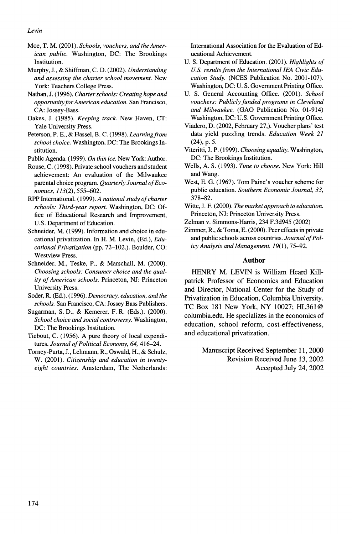- Moe, T. M. (2001). *Schools, vouchers, and the American public.* Washington, DC: The Brookings Institution.
- Murphy, J., & Shiffman, C. D. (2002). *Understanding and assessing the charter school movement.* New York: Teachers College Press.
- Nathan, J. (1996). *Charter schools: Creating hope and opportunity for American education.* San Francisco, CA: Jossey-Bass.
- Oakes, J. (1985). *Keeping track.* New Haven, CT: Yale University Press.
- Peterson, P. E., & Hassel, B. C. (1998). *Learning from school choice.* Washington, DC: The Brookings Institution.
- Public Agenda. (1999). *On thin ice.* New York: Author.
- Rouse, C. (1998). Private school vouchers and student achievement: An evaluation of the Milwaukee parental choice program. *Quarterly Journal of Economics, 113(2)*, 555-602.
- RPP International. (1999). *A national study of charter schools: Third-year report.* Washington, DC: Office of Educational Research and Improvement, U.S. Department of Education.
- Schneider, M. (1999). Information and choice in educational privatization. In H. M. Levin, (Ed.), *Educational Privatization* (pp. 72-102.). Boulder, CO: Westview Press.
- Schneider, M., Teske, P., & Marschall, M. (2000). *Choosing schools: Consumer choice and the quality of American schools.* Princeton, NJ: Princeton University Press.
- Soder, R. (Ed.). (1996). *Democracy, education, and the schools.* San Francisco, CA: Jossey Bass Publishers.
- Sugarman, S. D., & Kemerer, F. R. (Eds.). (2000). *School choice and social controversy.* Washington, DC: The Brookings Institution.
- Tiebout, C. (1956). A pure theory of local expenditures. *Journal of Political Economy, 64,* 416-24.
- Torney-Purta, J., Lehmann, R., Oswald, H., & Schulz, W. (2001). *Citizenship and education in twentyeight countries.* Amsterdam, The Netherlands:

International Association for the Evaluation of Educational Achievement.

- U. S. Department of Education. (2001). *Highlights of U.S. results from the International IEA Civic Edu*cation Study. (NCES Publication No. 2001-107). Washington, DC: U. S. Government Printing Office.
- U. S. General Accounting Office. (2001). *School vouchers: Publicly funded programs in Cleveland and Milwaukee.* (GAO Publication No. 01-914) Washington, DC: U.S. Government Printing Office.
- Viadero, D. (2002, February 27,). Voucher plans' test data yield puzzling trends. *Education Week* 21  $(24)$ , p. 5.
- Viteritti, **J.** P. (1999). *Choosing equality.* Washington, DC: The Brookings Institution.
- Wells, A. S. (1993). *Time to choose.* New York: Hill and Wang.
- West, E. G. (1967). Tom Paine's voucher scheme for public education. *Southern Economic Journal, 33,*  378-82.
- Witte, J. F. (2000). *The market approach to education.*  Princeton, NJ: Princeton University Press.
- Zelman v. Simmons-Harris, 234 F.3d945 (2002)
- Zimmer, R., & Toma, E. (2000). Peer effects in private and public schools across countries. *Journal of Policy Analysis and Management.* 19(1), 75-92.

## **Author**

HENRY M. LEVIN is William Heard Killpatrick Professor of Economics and Education and Director, National Center for the Study of Privatization in Education, Columbia University. TC Box 181 New York, NY 10027; HL361@ columbia.edu. He specializes in the economics of education, school reform, cost-effectiveness, and educational privatization.

> Manuscript Received September 11,2000 Revision Received June 13,2002 Accepted July 24,2002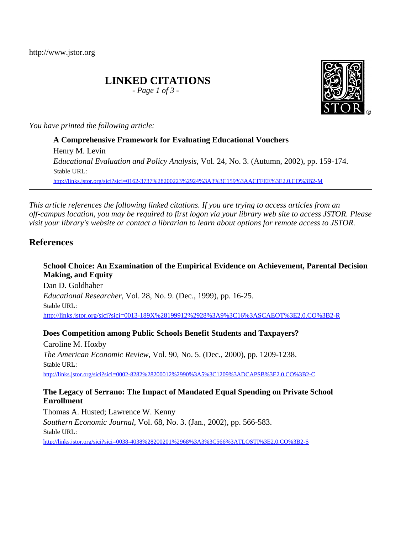http://www.jstor.org

# **LINKED CITATIONS**

*- Page 1 of 3 -*



*You have printed the following article:*

**A Comprehensive Framework for Evaluating Educational Vouchers** Henry M. Levin *Educational Evaluation and Policy Analysis*, Vol. 24, No. 3. (Autumn, 2002), pp. 159-174. Stable URL: [http://links.jstor.org/sici?sici=0162-3737%28200223%2924%3A3%3C159%3AACFFEE%3E2.0.CO%3B2-M](http://links.jstor.org/sici?sici=0162-3737%28200223%2924%3A3%3C159%3AACFFEE%3E2.0.CO%3B2-M&origin=JSTOR-pdf)

*This article references the following linked citations. If you are trying to access articles from an off-campus location, you may be required to first logon via your library web site to access JSTOR. Please visit your library's website or contact a librarian to learn about options for remote access to JSTOR.*

# **References**

## **School Choice: An Examination of the Empirical Evidence on Achievement, Parental Decision Making, and Equity**

Dan D. Goldhaber *Educational Researcher*, Vol. 28, No. 9. (Dec., 1999), pp. 16-25. Stable URL: [http://links.jstor.org/sici?sici=0013-189X%28199912%2928%3A9%3C16%3ASCAEOT%3E2.0.CO%3B2-R](http://links.jstor.org/sici?sici=0013-189X%28199912%2928%3A9%3C16%3ASCAEOT%3E2.0.CO%3B2-R&origin=JSTOR-pdf)

## **Does Competition among Public Schools Benefit Students and Taxpayers?**

Caroline M. Hoxby *The American Economic Review*, Vol. 90, No. 5. (Dec., 2000), pp. 1209-1238. Stable URL: [http://links.jstor.org/sici?sici=0002-8282%28200012%2990%3A5%3C1209%3ADCAPSB%3E2.0.CO%3B2-C](http://links.jstor.org/sici?sici=0002-8282%28200012%2990%3A5%3C1209%3ADCAPSB%3E2.0.CO%3B2-C&origin=JSTOR-pdf)

## **The Legacy of Serrano: The Impact of Mandated Equal Spending on Private School Enrollment**

Thomas A. Husted; Lawrence W. Kenny *Southern Economic Journal*, Vol. 68, No. 3. (Jan., 2002), pp. 566-583. Stable URL: [http://links.jstor.org/sici?sici=0038-4038%28200201%2968%3A3%3C566%3ATLOSTI%3E2.0.CO%3B2-S](http://links.jstor.org/sici?sici=0038-4038%28200201%2968%3A3%3C566%3ATLOSTI%3E2.0.CO%3B2-S&origin=JSTOR-pdf)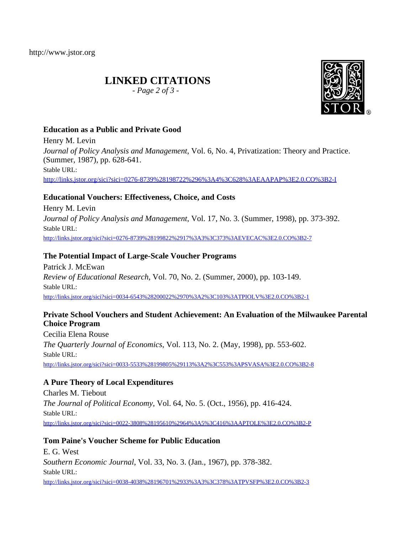# **LINKED CITATIONS**

*- Page 2 of 3 -*



## **Education as a Public and Private Good**

Henry M. Levin *Journal of Policy Analysis and Management*, Vol. 6, No. 4, Privatization: Theory and Practice. (Summer, 1987), pp. 628-641. Stable URL: [http://links.jstor.org/sici?sici=0276-8739%28198722%296%3A4%3C628%3AEAAPAP%3E2.0.CO%3B2-I](http://links.jstor.org/sici?sici=0276-8739%28198722%296%3A4%3C628%3AEAAPAP%3E2.0.CO%3B2-I&origin=JSTOR-pdf)

## **Educational Vouchers: Effectiveness, Choice, and Costs**

Henry M. Levin *Journal of Policy Analysis and Management*, Vol. 17, No. 3. (Summer, 1998), pp. 373-392. Stable URL: [http://links.jstor.org/sici?sici=0276-8739%28199822%2917%3A3%3C373%3AEVECAC%3E2.0.CO%3B2-7](http://links.jstor.org/sici?sici=0276-8739%28199822%2917%3A3%3C373%3AEVECAC%3E2.0.CO%3B2-7&origin=JSTOR-pdf)

## **The Potential Impact of Large-Scale Voucher Programs**

Patrick J. McEwan *Review of Educational Research*, Vol. 70, No. 2. (Summer, 2000), pp. 103-149. Stable URL: [http://links.jstor.org/sici?sici=0034-6543%28200022%2970%3A2%3C103%3ATPIOLV%3E2.0.CO%3B2-1](http://links.jstor.org/sici?sici=0034-6543%28200022%2970%3A2%3C103%3ATPIOLV%3E2.0.CO%3B2-1&origin=JSTOR-pdf)

## **Private School Vouchers and Student Achievement: An Evaluation of the Milwaukee Parental Choice Program**

Cecilia Elena Rouse *The Quarterly Journal of Economics*, Vol. 113, No. 2. (May, 1998), pp. 553-602. Stable URL: [http://links.jstor.org/sici?sici=0033-5533%28199805%29113%3A2%3C553%3APSVASA%3E2.0.CO%3B2-8](http://links.jstor.org/sici?sici=0033-5533%28199805%29113%3A2%3C553%3APSVASA%3E2.0.CO%3B2-8&origin=JSTOR-pdf)

## **A Pure Theory of Local Expenditures**

Charles M. Tiebout *The Journal of Political Economy*, Vol. 64, No. 5. (Oct., 1956), pp. 416-424. Stable URL: [http://links.jstor.org/sici?sici=0022-3808%28195610%2964%3A5%3C416%3AAPTOLE%3E2.0.CO%3B2-P](http://links.jstor.org/sici?sici=0022-3808%28195610%2964%3A5%3C416%3AAPTOLE%3E2.0.CO%3B2-P&origin=JSTOR-pdf)

## **Tom Paine's Voucher Scheme for Public Education**

E. G. West *Southern Economic Journal*, Vol. 33, No. 3. (Jan., 1967), pp. 378-382. Stable URL: [http://links.jstor.org/sici?sici=0038-4038%28196701%2933%3A3%3C378%3ATPVSFP%3E2.0.CO%3B2-3](http://links.jstor.org/sici?sici=0038-4038%28196701%2933%3A3%3C378%3ATPVSFP%3E2.0.CO%3B2-3&origin=JSTOR-pdf)